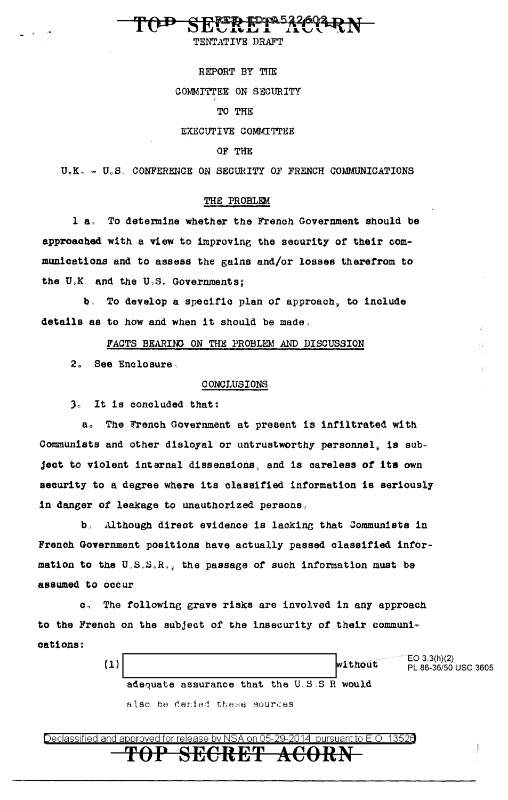TENTATIVE DRAFT

REPORT BY THE COMMITTEE ON SECURITY TO THE

EXECUTIVE COMMITTEE

### OF THE

U.K. - U.S. CONFERENCE ON SECURITY OF FRENCH COMMUNICATIONS

### THE PROBLEM

To determine whether the French Government should be  $1a.$ approached with a view to improving the security of their communications and to assess the gains and/or losses therefrom to the U.K. and the U.S. Governments;

To develop a specific plan of approach, to include  $\mathbf{b}$ details as to how and when it should be made,

FACTS BEARING ON THE PROBLEM AND DISCUSSION

 $2<sub>o</sub>$ See Enclosure.

### CONCLUSIONS

3. It is concluded that:

 $B_{\alpha}$ The French Government at present is infiltrated with Communists and other disloyal or untrustworthy personnel, is subject to violent internal dissensions, and is careless of its own security to a degree where its classified information is seriously in danger of leakage to unauthorized persons.

b. Although direct evidence is lacking that Communists in French Government positions have actually passed classified information to the U.S.S.R., the passage of such information must be assumed to occur

The following grave risks are involved in any approach  $\mathbf{c}$ to the French on the subject of the insecurity of their communications:

> EO 3.3(h)(2)  $(1)$ without PL 86-36/50 USC 3605 adequate assurance that the U.S.S R would also be denied these sources

suant to E.O. 13526 Declassified and approved for release by NSA on 05-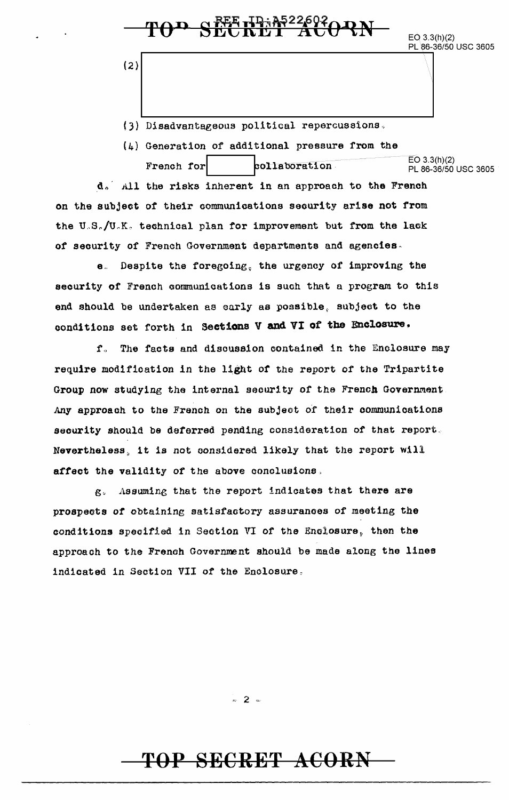EO 3.3(h)(2)<br>PL 86-36/50 USC 3605  $\begin{array}{r} \begin{array}{c} \textbf{POP} \textbf{SETERIT} \textbf{RT1} \textbf{OPT} \textbf{PQ} \textbf{P} \textbf{N} \end{array} \end{array}$ 

(3) Disadvantageous political repercussions.

(4) Generation of additional pressure from the French for collaboration EO 3.3(h)(2) PL 86-36/50 USC 3605

d. All the risks inherent in an approach to the French on the subject of their communications security arise not from the U.S./U.K. technical plan for improvement but from the lack of security of French Government departments and agencies-

e.. Despite the foregoing, the urgency of improving the security of French communications is such that a program to this end should be undertaken as early as possible, subjeot to the conditions set forth in Sections V and VI of the Enclosure.

f. The facts and discussion contained in the Enclosure may require modification in the light or the report of the Tripartite Group now studying the internal security of the French Government. *Any* approach to the French on the subjeot of their oommunioat1ons security should be deferred pending consideration of that report. Nevertheless, it is not considered likely that the report will affect the validity of the above conclusions.

g" Assuming that the report indicates that there are prospects of obtaining satisfaotory assurances of meeting the conditions specified in Section VI of the Enclosure, then the approach to the French Government should be made along the lines indicated in Section VII of the Enclosure.

 $= 2 -$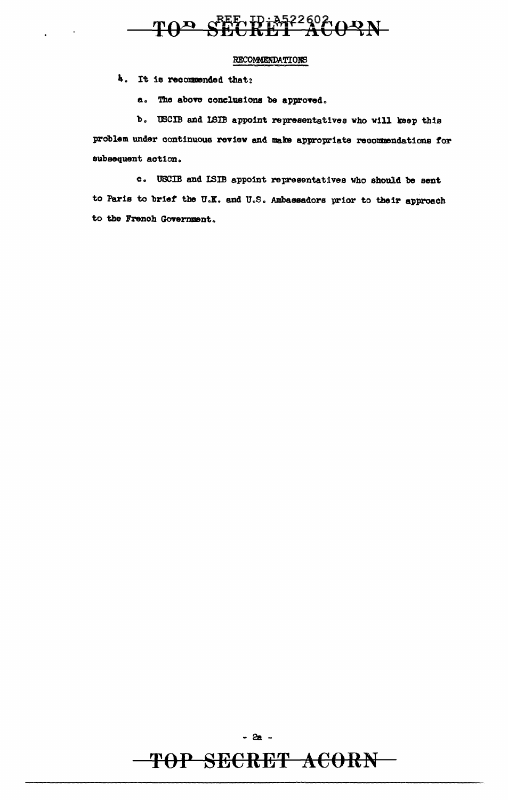# TOP SEE ID: 3522602 ORN

### **RECOMMENDATIONS**

4. It is recommended that:

a. The above conclusions be approved.

b. USCIB and ISIB appoint representatives who will keep this problem under continuous review and make appropriate recommendations for subsequent action.

c. USCIB and ISIB appoint representatives who should be sent to Paris to brief the U.K. and U.S. Ambassadors prior to their approach to the French Government.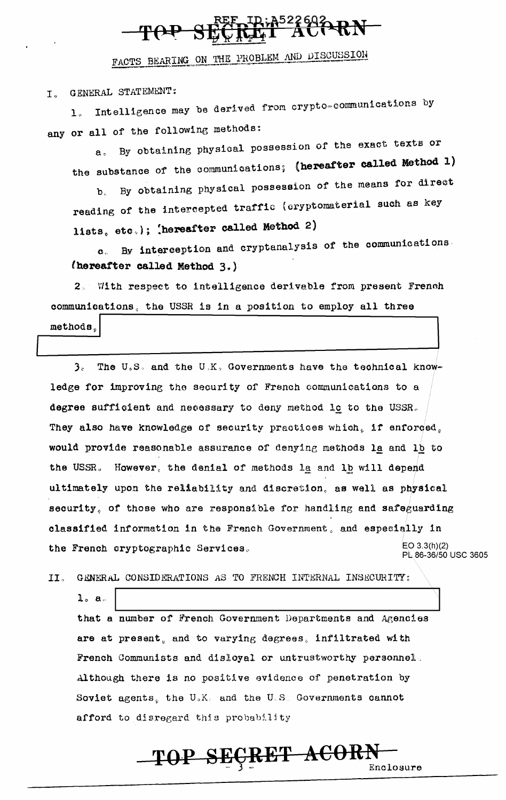# 3226920RN

FACTS BEARING ON THE PROBLEM AND DISCUSSION

I. GENERAL STATEMENT:

Intelligence may be derived from crypto-communications by  $\mathbf{1}$   $\alpha$ any or all of the following methods:

By obtaining physical possession of the exact texts or  $A<sub>n</sub>$ the substance of the communications; (hereafter called Method 1)

By obtaining physical possession of the means for direct  $h$ reading of the intercepted traffic (cryptomaterial such as key lists, etc.); (hereafter called Method 2)

By interception and cryptanalysis of the communications.  $\alpha$ . (hereafter called Method 3.)

2. With respect to intelligence derivable from present French communications, the USSR is in a position to employ all three

methods.

 $3<sub>e</sub>$ The U.S. and the U.K. Governments have the technical knowledge for improving the security of French communications to a degree sufficient and necessary to deny method lc to the USSR. They also have knowledge of security practices which, if enforced, would provide reasonable assurance of denying methods la and lb to the USSR. However, the denial of methods la and lb will depend ultimately upon the reliability and discretion, as well as physical security, of those who are responsible for handling and safeguarding classified information in the French Government, and especially in  $EO 3.3(h)(2)$ the French cryptographic Services. PL 86-36/50 USC 3605

 $II.$ GENERAL CONSIDERATIONS AS TO FRENCH INTERNAL INSECURITY:

 $1. a.$ that a number of French Government Departments and Agencies are at present, and to varying degrees, infiltrated with French Communists and disloyal or untrustworthy personnel. Although there is no positive evidence of penetration by Soviet agents, the U.K. and the U.S. Governments cannot afford to disregard this probability

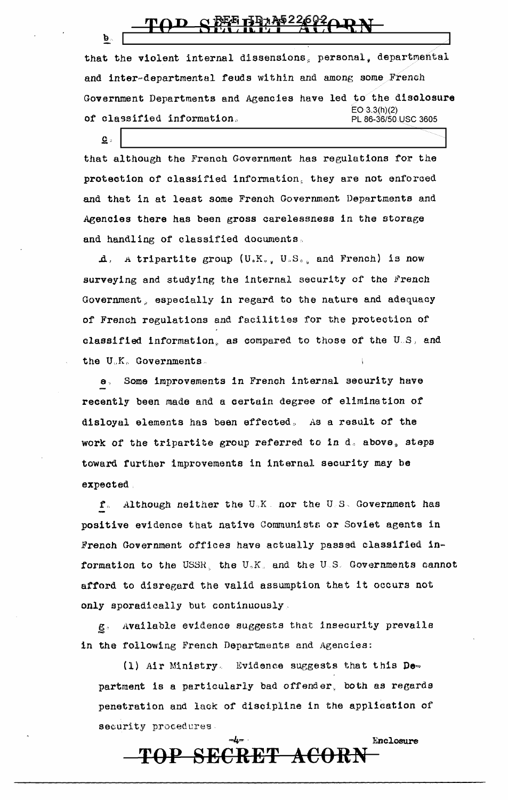b ..

 $\mathbf{c}$ .

that the violent internal dissensions, personal, departmental and inter-departmental feuds within and among some French Government Departments and Agencies have led to the disclosure EO 3.3(h)(2)<br>PL 86-36/50 USC 3605 of classified information.

that although the French Government has regulations for the protection of classified information, they are not enforced and that in at least some French Government Departments and Agencies there has been gross carelessness in the storage and handling of classified documents .

 $\Lambda$ . A tripartite group  $(U_sK_{s_{-s}} U_sS_{s_{-s}}$  and French) is now surveying and studying the internal security of the French Government, especially in regard to the nature and adequacy of French regulations and facilities for the protection of classified information, as compared to those of the U.S. and the U.K. Governments.

e, Some improvements in French internal security have recently been made and a certain degree of elimination *ot*  disloyal elements has been effected, As a result of the work of the tripartite group referred to in  $d<sub>s</sub>$  above, steps toward further improvements in internal security may be expected.

 $f_{\rm s}$ . Although neither the U<sub>2</sub>K. nor the U<sub>2</sub>S. Government has positive evidence that native Communists or Soviet agents in French Government offices have actually passed classified information to the USSH, the U~K. and the U.S. Governments oannot afford to disregard the valid assumption that it occurs not only sporadically but continuously,

§,, Available evidence suggests that insecurity prevails in the following French Departments and Agencies:

(1) Air Ministry. Evidence suggests that this Department is a particularly bad offender, both as regards penetration and lack or discipline in the application of security procedures.

**TOP SECRET ACORN** 

Enclosure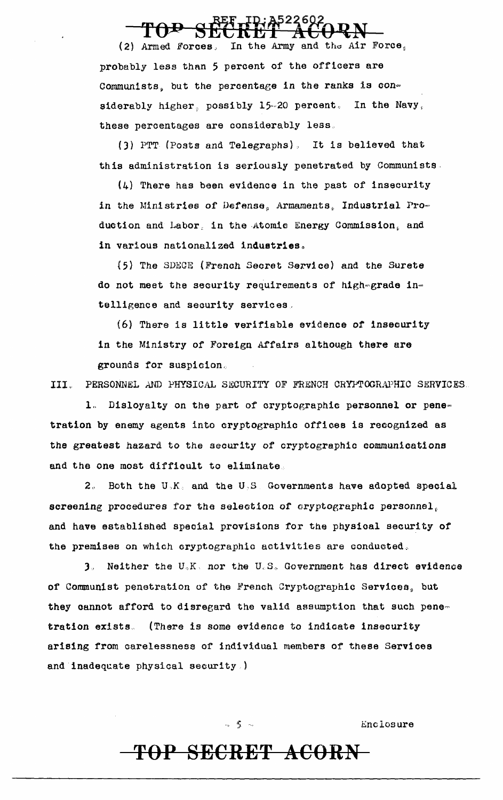(2) Armed Forces, In the Army and the Air Force. probably less than 5 percent of the officers are Communists, but the percentage in the ranks is con= siderably higher, possibly 15-20 percent. In the Navy, these percentages are considerably less ..

(3) PTT (Posts and Telegraphs). It is believed that this administration is seriously penetrated by Communists.

(4) There has been evidence in the past of insecurity in the Ministries of Defense, Armaments, Industrial Pro= duction and Labor, in the Atomic Energy Commission, and in various nationalized industries.

{5} The SDECE (Frenah Secret Service) and the Surete do not meet the security requirements of high=grade in= telligence and security services,

(6) There is little verifiable evidence or insecurity in the Ministry of Foreign Affairs although there are grounds for suspicion,

III. PERSONNEL AND PHYSICAL SECURITY OF FRENCH CRYPTOGRAPHIC SERVICES.

1. Disloyalty on the part of cryptographic personnel or pene= tration by enemy agents into cryptographic offices is recognized as the greatest hazard to the security of cryptographic communications and the one most difficult to eliminate.

 $2<sub>s</sub>$  Both the U<sub>2</sub>K<sub>2</sub> and the U<sub>2</sub>S<sub>2</sub> Governments have adopted special screening procedures for the selection of cryptographic personnel, and have established special provisions for the physioal security of the premises on which cryptographic activities are conducted.

 $3$ . Neither the  $U_{\alpha}K_{\beta}$  nor the  $U_{c}S_{\alpha}$  Government has direct evidence of Communist penetration of the French Cryptographic Services, but they cannot afford to disregard the valid assumption that such pene= tration exists. (There is some evidence to indicate insecurity arising from carelessness of individual members of these Services and inadequate physical security.)

 $-5$   $-$  Enclosure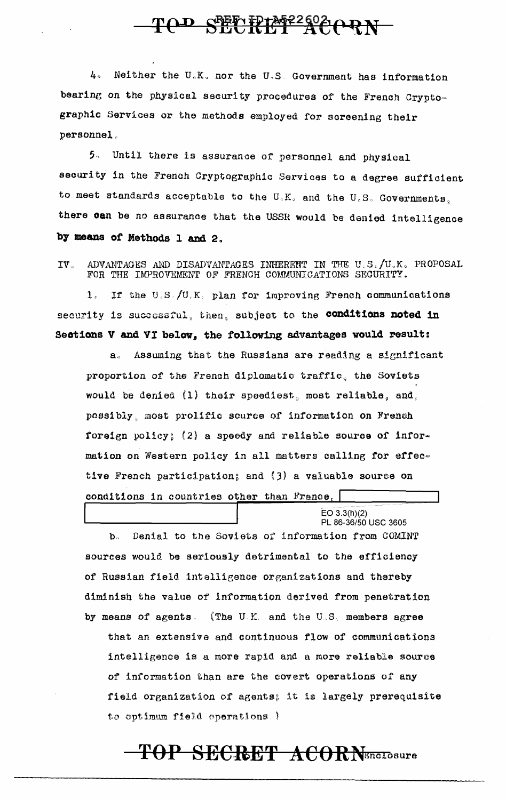## TOD SPECIFIME225020RN

Neither the U.K. nor the U.S. Government has information  $\mathbf{L}$ bearing on the physical security procedures of the French Cryptographic Services or the methods employed for screening their personnel.

5. Until there is assurance of personnel and physical security in the French Cryptographic Services to a degree sufficient to meet standards acceptable to the U.K. and the U.S. Governments, there can be no assurance that the USSR would be denied intelligence by means of Methods 1 and 2.

IV. ADVANTAGES AND DISADVANTAGES INHERENT IN THE U.S./U.K. PROPOSAL FOR THE IMPROVEMENT OF FRENCH COMMUNICATIONS SECURITY.

 $1<sub>0</sub>$ If the U.S./U.K. plan for improving French communications security is successful, then, subject to the conditions noted in Sections V and VI below, the following advantages would result:

Assuming that the Russians are reading a significant  $\mathbf{a}$ . proportion of the French diplomatic traffic, the Soviets would be denied (1) their speediest, most reliable, and, possibly, most prolific source of information on French foreign policy; (2) a speedy and reliable source of information on Western policy in all matters calling for effective French participation; and (3) a valuable source on conditions in countries other than France,

 $EO$  3.3(h)(2)

PL 86-36/50 USC 3605 Denial to the Soviets of information from COMINT  $\mathbf{b}$ . sources would be seriously detrimental to the efficiency of Russian field intelligence organizations and thereby diminish the value of information derived from penetration by means of agents. (The U.K. and the U.S. members agree that an extensive and continuous flow of communications intelligence is a more rapid and a more reliable source of information than are the covert operations of any field organization of agents; it is largely prerequisite to optimum field operations.)

## TOP SECRET ACORNELLOSUre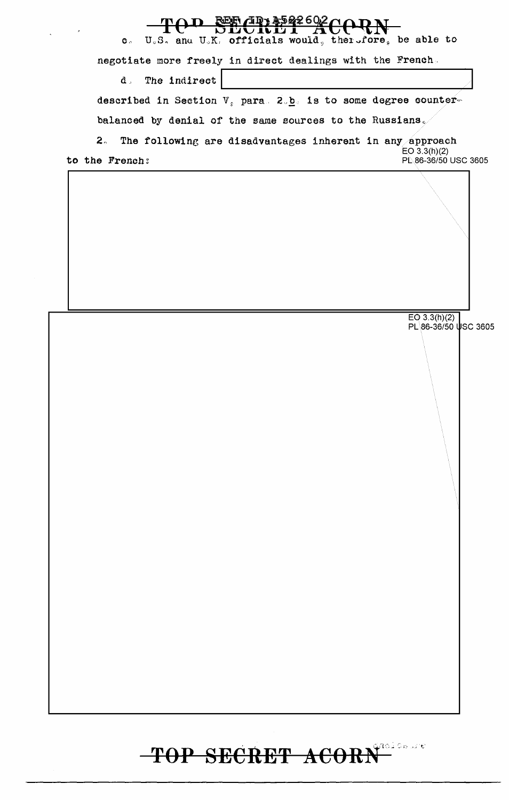### 52260, 4ወን

U.S. and U.K. officials would, therefore, be able to  $\bullet$ 

negotiate more freely in direct dealings with the French.

d. The indirect

described in Section  $V_s$  para. 2.b. is to some degree counter-

balanced by denial of the same sources to the Russians $\sqrt{ }$ 

 $2<sub>o</sub>$ The following are disadvantages inherent in any approach  $EO$  3.3(h)(2) to the French: PL 86-36/50 USC 3605

EO 3.3(h)(2)<br>PL 86-36/50 USC 3605

### prodonure<br>L TOP SECRET ACORM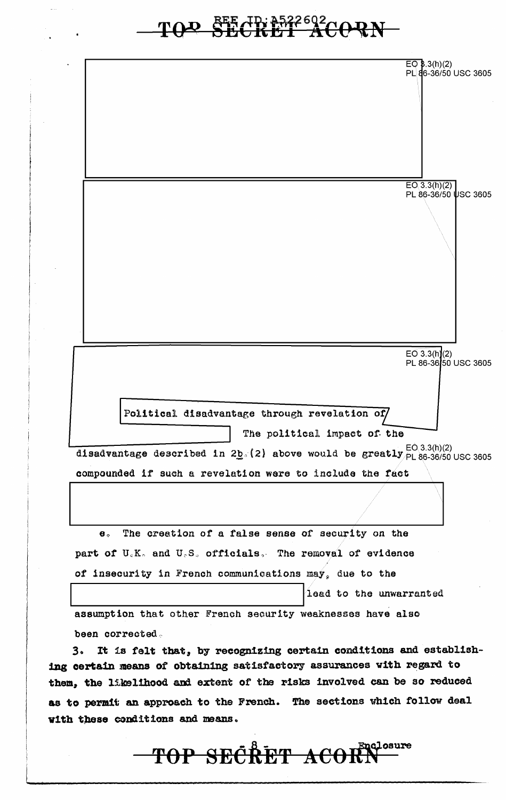# TOD SEE ID: 3522602<br>CORN

EO 8.3(h)(2)<br>PL 86-36/50 USC 3605  $EO(3.3(h)(2)$ PL 86-36/50 USC 3605  $EO\ 3.3(h)(2)$ PL 86-36 50 USC 3605 Political disadvantage through revelation of/ The political impact of the disadvantage described in 2b.(2) above would be greatly  $_{PL}^{EO(3.3(h)(2)}$  disadvantage described in 2b.(2) above would be greatly  $_{PL}^{EO(3.3(h)(2)}$  USC 3605 compounded if such a revelation were to include the fact The creation of a false sense of security on the  $\mathbf{e}$ . part of U.K. and U.S. officials. The removal of evidence of insecurity in French communications may, due to the lead to the unwarranted assumption that other French security weaknesses have also been corrected. It is felt that, by recognizing certain conditions and establishз. ing certain means of obtaining satisfactory assurances with regard to them, the likelihood and extent of the risks involved can be so reduced as to permit an approach to the French. The sections which follow deal with these conditions and means. TOP SECRET ACORN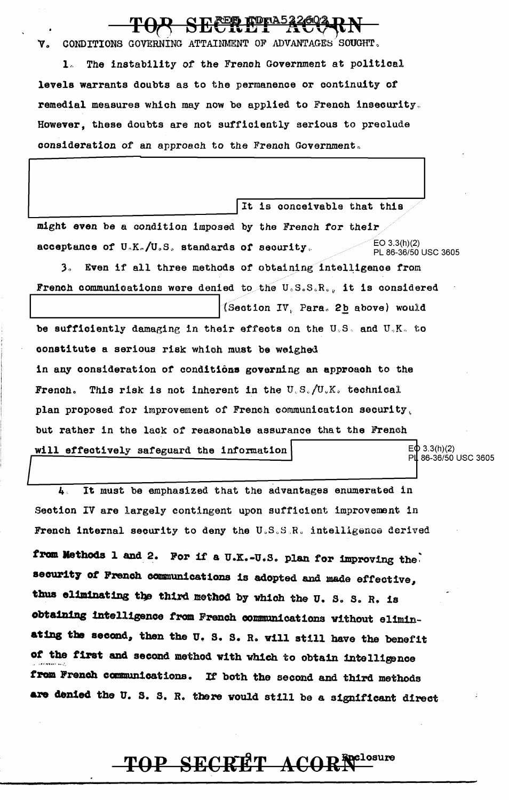CONDITIONS GOVERNING ATTAINMENT OF ADVANTAGES SOUGHT. Δ.

The instability of the French Government at political  $\mathbf{1}$ . levels warrants doubts as to the permanence or continuity of remedial measures which may now be applied to French insecurity. However, these doubts are not sufficiently serious to preclude consideration of an approach to the French Government.

It is conceivable that this might even be a condition imposed by the French for their  $EO$  3.3(h)(2) acceptance of  $U_nK_n/U_sS_s$ , standards of security. PL 86-36/50 USC 3605 3. Even if all three methods of obtaining intelligence from French communications were denied to the U.S.S.R., it is considered (Section IV, Para. 2b above) would be sufficiently damaging in their effects on the U.S. and U.K. to constitute a serious risk which must be weighed in any consideration of conditions governing an approach to the French. This risk is not inherent in the U.S./U.K. technical plan proposed for improvement of French communication security, but rather in the lack of reasonable assurance that the French  $E\Phi$  3.3(h)(2) will effectively safeguard the information PL 86-36/50 USC 3605

 $\boldsymbol{l}_{\mathbf{k}}$  . It must be emphasized that the advantages enumerated in Section IV are largely contingent upon sufficient improvement in French internal security to deny the U.S.S.R. intelligence derived from Methods 1 and 2. For if a U.K.-U.S. plan for improving the security of French communications is adopted and made effective, thus eliminating the third method by which the U.S.S.R. is obtaining intelligence from French communications without eliminating the second, then the U.S. S. R. will still have the benefit of the first and second method with which to obtain intelligence from French communications. If both the second and third methods are denied the U.S. S. R. there would still be a significant direct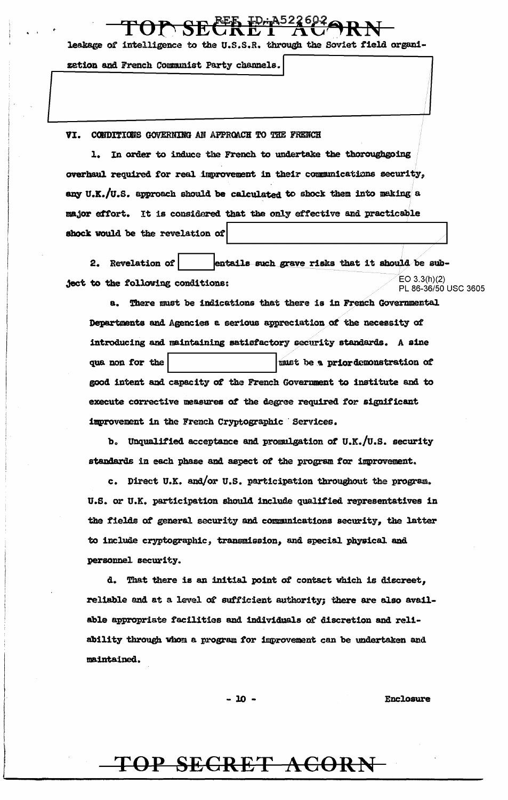leakage of intelligence to the U.S.S.R. through the Soviet field organi-

zetion and French Communist Party channels.

### VI. CONDITIONS GOVERNING AN APPROACH TO THE FRENCH

1. In order to induce the French to undertake the thoroughgoing overhaul required for real improvement in their communications security, any U.K./U.S. approach should be calculated to shock them into making a major effort. It is considered that the only effective and practicable shock would be the revelation of

2. Revelation of entails such grave risks that it should be sub- $EO$  3.3(h)(2) ject to the following conditions: PL 86-36/50 USC 3605

a. There must be indications that there is in French Governmental Departments and Agencies a serious appreciation of the necessity of introducing and maintaining satisfactory security standards. A sine must be a priordemonstration of qua non for the good intent and capacity of the French Government to institute and to execute corrective measures of the degree required for significant improvement in the French Cryptographic Services.

b. Unqualified acceptance and promulgation of U.K./U.S. security standards in each phase and aspect of the program for improvement.

c. Direct U.K. and/or U.S. participation throughout the program. U.S. or U.K. participation should include qualified representatives in the fields of general security and communications security, the latter to include cryptographic, transmission, and special physical and personnel security.

d. That there is an initial point of contact which is discreet, reliable and at a level of sufficient authority; there are also available appropriate facilities and individuals of discretion and reliability through whom a program for improvement can be undertaken and maintained.

 $-10 -$ 

**Enclosure**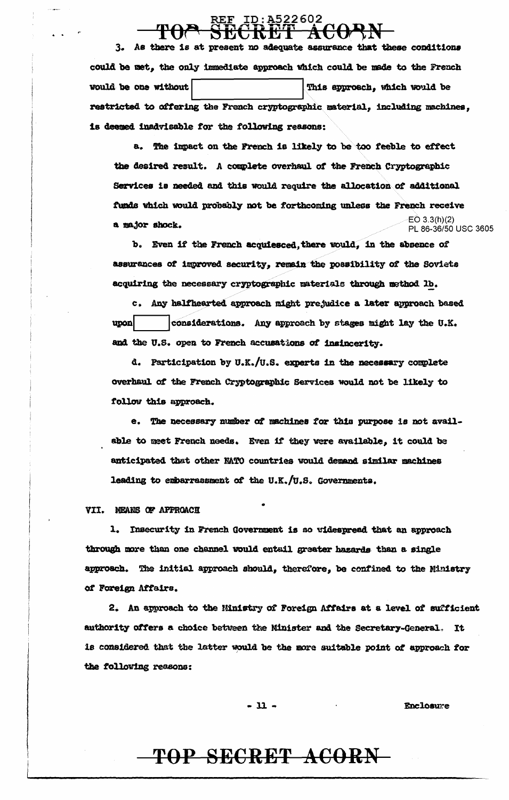3. As there is at present no adequate assurance that these conditions could be met, the only immediate approach which could be made to the French would be one without This approach, which would be restricted to offering the French cryptographic material, including machines, is deemed inadvisable for the following reasons:

a. The impact on the French is likely to be too feeble to effect the desired result. A complete overhaul of the French Cryptographic Services is needed and this would require the allocation of additional funds which would probably not be forthcoming unless the French receive  $E(0, 3, 3/h)(2)$ a major shock. PL 86-36/50 USC 3605

b. Even if the French acquiesced, there would, in the absence of assurances of improved security, remain the possibility of the Soviets acquiring the necessary cryptographic materials through method 1b.

c. Any halfhearted approach might prejudice a later approach based considerations. Any approach by stages might lay the U.K. upon and the U.S. open to French accusations of insincerity.

d. Participation by U.K./U.S. experts in the necessary complete overhaul of the French Cryptographic Services would not be likely to follow this approach.

e. The necessary number of machines for this purpose is not available to meet French needs. Even if they were available, it could be anticipated that other NATO countries would demand similar machines leading to embarrassment of the U.K./U.S. Governments.

VII. MEANS OF APPROACH

1. Insecurity in French Government is so widespread that an approach through more than one channel would entail greater hazards than a single approach. The initial approach should, therefore, be confined to the Ministry of Foreign Affairs.

2. An approach to the Ministry of Foreign Affairs at a level of sufficient authority offers a choice between the Minister and the Secretary-General. It is considered that the latter would be the more suitable point of approach for the following reasons:

 $-11 -$ 

**Enclosure**